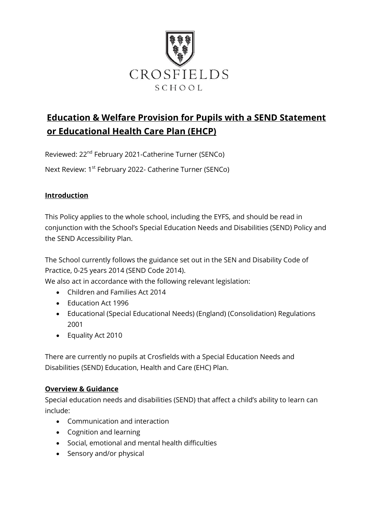

# **Education & Welfare Provision for Pupils with a SEND Statement or Educational Health Care Plan (EHCP)**

Reviewed: 22nd February 2021-Catherine Turner (SENCo)

Next Review: 1<sup>st</sup> February 2022- Catherine Turner (SENCo)

## **Introduction**

This Policy applies to the whole school, including the EYFS, and should be read in conjunction with the School's Special Education Needs and Disabilities (SEND) Policy and the SEND Accessibility Plan.

The School currently follows the guidance set out in the SEN and Disability Code of Practice, 0-25 years 2014 (SEND Code 2014).

We also act in accordance with the following relevant legislation:

- Children and Families Act 2014
- Education Act 1996
- Educational (Special Educational Needs) (England) (Consolidation) Regulations 2001
- Equality Act 2010

There are currently no pupils at Crosfields with a Special Education Needs and Disabilities (SEND) Education, Health and Care (EHC) Plan.

#### **Overview & Guidance**

Special education needs and disabilities (SEND) that affect a child's ability to learn can include:

- Communication and interaction
- Cognition and learning
- Social, emotional and mental health difficulties
- Sensory and/or physical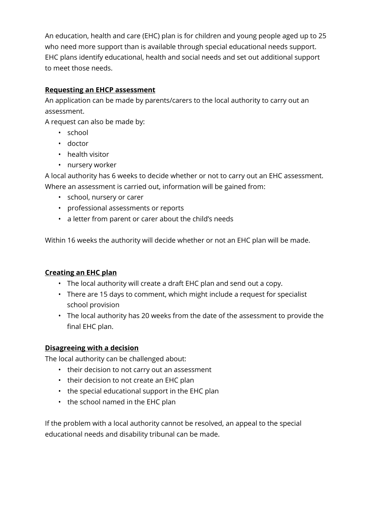An education, health and care (EHC) plan is for children and young people aged up to 25 who need more support than is available through special educational needs support. EHC plans identify educational, health and social needs and set out additional support to meet those needs.

# **Requesting an EHCP assessment**

An application can be made by parents/carers to the local authority to carry out an assessment.

A request can also be made by:

- school
- doctor
- health visitor
- nursery worker

A local authority has 6 weeks to decide whether or not to carry out an EHC assessment. Where an assessment is carried out, information will be gained from:

- school, nursery or carer
- professional assessments or reports
- a letter from parent or carer about the child's needs

Within 16 weeks the authority will decide whether or not an EHC plan will be made.

# **Creating an EHC plan**

- The local authority will create a draft EHC plan and send out a copy.
- There are 15 days to comment, which might include a request for specialist school provision
- The local authority has 20 weeks from the date of the assessment to provide the final EHC plan.

#### **Disagreeing with a decision**

The local authority can be challenged about:

- their decision to not carry out an assessment
- their decision to not create an EHC plan
- the special educational support in the EHC plan
- the school named in the EHC plan

If the problem with a local authority cannot be resolved, an appeal to the special educational needs and disability tribunal can be made.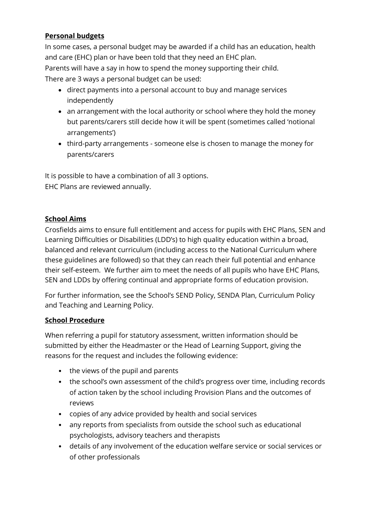# **Personal budgets**

In some cases, a personal budget may be awarded if a child has an education, health and care (EHC) plan or have been told that they need an EHC plan. Parents will have a say in how to spend the money supporting their child. There are 3 ways a personal budget can be used:

- direct payments into a personal account to buy and manage services independently
- an arrangement with the local authority or school where they hold the money but parents/carers still decide how it will be spent (sometimes called 'notional arrangements')
- third-party arrangements someone else is chosen to manage the money for parents/carers

It is possible to have a combination of all 3 options. EHC Plans are reviewed annually.

#### **School Aims**

Crosfields aims to ensure full entitlement and access for pupils with EHC Plans, SEN and Learning Difficulties or Disabilities (LDD's) to high quality education within a broad, balanced and relevant curriculum (including access to the National Curriculum where these guidelines are followed) so that they can reach their full potential and enhance their self-esteem. We further aim to meet the needs of all pupils who have EHC Plans, SEN and LDDs by offering continual and appropriate forms of education provision.

For further information, see the School's SEND Policy, SENDA Plan, Curriculum Policy and Teaching and Learning Policy.

#### **School Procedure**

When referring a pupil for statutory assessment, written information should be submitted by either the Headmaster or the Head of Learning Support, giving the reasons for the request and includes the following evidence:

- the views of the pupil and parents
- the school's own assessment of the child's progress over time, including records of action taken by the school including Provision Plans and the outcomes of reviews
- copies of any advice provided by health and social services
- any reports from specialists from outside the school such as educational psychologists, advisory teachers and therapists
- details of any involvement of the education welfare service or social services or of other professionals